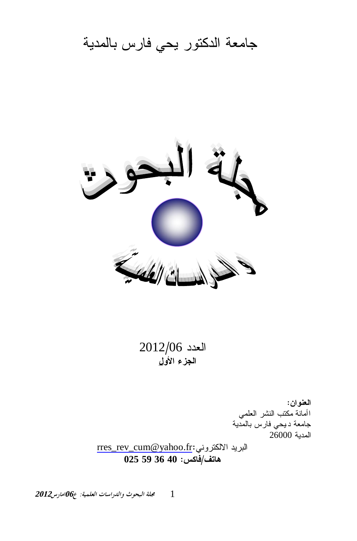جامعة الدكتور يحي فارس بالمدية



 $2012/06$  العدد ا**لجزء الأول** 

> ا**لعنو**ان: اأمانة مكتب النشر العلمي جامعة ديحي فارس بالمدية المدية 26000

[rres\\_rev\\_cum@yahoo.fr](mailto:rres_rev_cum@yahoo.fr):البريد الالكتروني **025 59 36 40 :ũƂœż/ŻřœƋ**

 $12012$ مجلة البحوث والدراسات العلمية: ع $\theta$ امارس 2012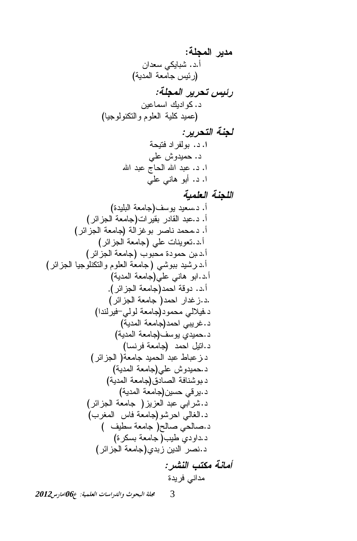**:ŗƄŞƆƃŒŧƒťƆ** ƉŔŧŸŬƓƄƔŕŗŮ .ŧ.Ō (řƔŧƈƅŔřŸƈŕŠūƔœũ) **:ŗƄŞƆƃŒŧƒŧšřũƒőŧ** ƉƔŷŕƈŬŔƃƔŧŔƏƄ .ŧ (ŕƔŠƏƅƏƊƄśƅŔƏƇƏƆŸƅŔ řƔƆƄŧƔƈŷ) **:ŧƒŧšřƃŒŗƈŞƃ** řţƔśžŧŔũſƅƏŗ .ŧ **.Œ** ƓƆŷŭƏŧƔƈţ .ŧ ĺŔŧŗŷŞŕţƅŔĺŔŧŗŷ .ŧ .Ŕ ƓƆŷƓƊŕƍƏŗŌ .ŧ .Ŕ **ŗƒƆƄŶƃŒŗƈŞƄƃŒ** (ŘŧƔƆŗƅŔřŸƈŕŠ)ŽŬƏƔŧƔŸŬ.ŧ .Ō (ũœŔŪŠƅŔřŸƈŕŠ)ŚŔũƔƂŗũŧŕƂƅŔŧŗŷ.ŧ .Ō (ũœŔŪŠƅŔřŸƈŕŠ)řƅŔŪŻƏŗũŰŕƊŧƈţƈ.ŧ .Ō (ũœŔŪŠƅŔřŸƈŕŠ)ƓƆŷŚŕƊƔƏŸś.ŧ.Ō (ũœŔŪŠƅŔřŸƈŕŠ) ŖƏŗţƈŘŧƏƈţƉŗ.ŧ.Ō (ũœŔŪŠƅŔŕƔŠƏƆƊƄśƅŔƏƇƏƆŸƅŔřŸƈŕŠ )ƓŮƏŗŗŧƔŮũ.ŧ.Ō (řƔŧƈƅŔřŸƈŕŠ)ƓƆŷƓƊŕƍƏŗŔ.ŧ.Ō .(ũœŔŪŠƅŔřŸƈŕŠ)ŧƈţŔřƁƏŧ .ŧ.Ō (ũœŔŪŠƅŔřŸƈŕŠ )ŧƈţŔũŔŧŻŪ.ŧ. (ŔŧƊƅũƔž-ƓƅƏƅřŸƈŕŠ)ŧƏƈţƈƓƅƜƔž.ŧ (řƔŧƈƅŔřŸƈŕŠ)ŧƈţŔƓŗƔũŻ.ŧ (řƔŧƈƅŔřŸƈŕŠ)ŽŬƏƔƒŧƔƈţ.ŧ (ŕŬƊũžřŸƈŕŠ) ŧƈţŔ¿ƔśŔ.ŧ (ũœŔŪŠƅŔ )řŸƈŕŠŧƔƈţƅŔŧŗŷųŕŗŷŪ.ŧ (řƔŧƈƅŔřŸƈŕŠ)ƓƆŷŭƏŧƔƈţ.ŧ (řƔŧƈƅŔřŸƈŕŠ)ƀŧŕŰƅŔřžŕƊŮƏŗ.ŧ (řƔŧƈƅŔřŸƈŕŠ)ƉƔŬţƓƁũƔ.ŧ (ũœŔŪŠƅŔ řŸƈŕŠ )ŪƔŪŸƅŔŧŗŷƓŗŔũŮ.ŧ (ŖũżƈƅŔ ūŕž řŸƈŕŠ)ƏŮũţŔƓƅŕżƅŔ.ŧ ( ŽƔųŬřŸƈŕŠ )ŢƅŕŰƓţƅŕŰ.ŧ (ŘũƄŬŗřŸƈŕŠ )ŖƔųƒŧƏŔŧ.ŧ (ũœŔŪŠƅŔřŸƈŕŠ)ƒŧŗŪƉƔŧƅŔũŰƊ.ŧ **:ŧŬƈƃŒŔřƂƆŗƈœƆŊ** ŘŧƔũžƓƊŔŧƈ

**<sup>2012</sup>DžǁƢǷơ06<sup>ǝ</sup> :ƨȈǸǴǠdzơƩƢLJơǁƾdzơȁƭȂƸƦdzơƨǴů** 3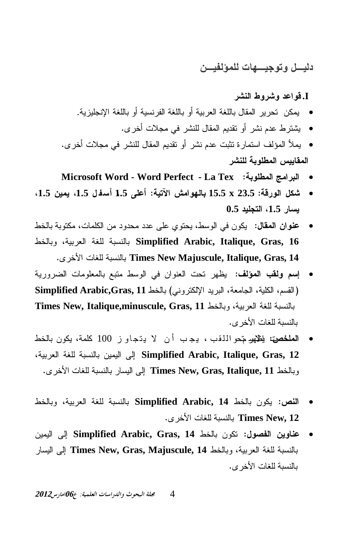## دنيـــل و تو جيــــهات للمؤلفيـــن

## **f** فواعد وشروط النشر

- بِمكن تحرير المقال باللغة العربية أو باللغة الفرنسية أو باللغة الإنجليزية.
	- بشترط عدم نشر أو تقديم المقال للنشر في مجلات أخر ي.
- بِملأ المؤلف استمارة تثبت عدم نشر أو تقديم المقال للنشر في مجلات أخرى. المقابيس المطلوبة للنشر
- **Microsoft Word Word Perfect La Tex :ŗŕƍƄűƆƃŒŝƆŒŧŕƃŒ** x
- شكل الورقة: 23.5 × 1.5 بالهوامش الآتية: أعلى 1.5 أسفل 1.5، يمين 1.5، **0.5ťƒƄŞřƃŒ1.5 ŧœŪƒ**
- عنوان المقال: يكون في الوسط، يحتوي على عدد محدود من الكلمات، مكتوبة بالخط بالنسبة للغة العربية، وبالخط Simplified Arabic, Italique, Gras, 16 .ƐũŦƗŔŚŕżƆƅřŗŬƊƅŕŗ **Times New Majuscule, Italique, Gras, 14**
- إسم ولقب المؤلف: يظهر نحت العنوان في الوسط متبع بالمعلومات الضرورية Simplified Arabic,Gras, 11 إن القسم، الكلية، الجامعة، البريد الإلكتروني) بالخط Times New, Italique,minuscule, Gras, 11 بالنسبة للغة العربية، وبالخط بالنسبة للغات الأخر ي.
- ا**لعلخصن**، بلظهوم تحوالذقب ، يجب أن لا يتجاوز 100 كلمة، يكون بالخط řƔŗũŸƅŔřżƆƅřŗŬƊƅŕŗ ƉƔƈƔƅŔ Ƒƅŏ **Simplified Arabic, Italique, Gras, 12** وبالخط Times New, Gras, Italique, 11 إلى اليسار بالنسبة للغات الأخرى.
- ا**لنص**: يكون بالخط Simplified Arabic, 14 بالنسبة للغة العربية، وبالخط نالنسبة للغات الأخرى. Times New, 12
- **عناوين الفصول:** تكون بالخط Simplified Arabic, Gras, 14 إلى البمين بالنسبة للغة العربية، وبالخط Times New, Gras, Majuscule, 14 إلى اليسار بالنسبة للغات الأخر ي.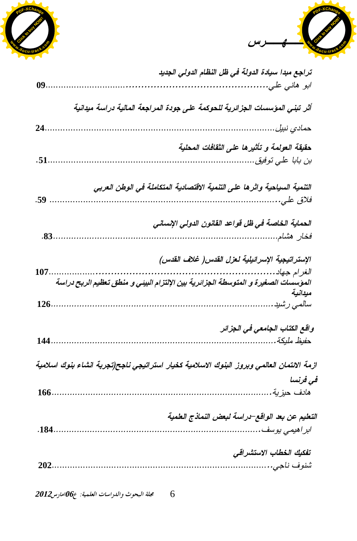



| 09.  | تراجع مبدا سيادة الدولة في ظل النظام الدولي الجديد<br>ابو هاني علي.                                                                                    |
|------|--------------------------------------------------------------------------------------------------------------------------------------------------------|
|      | أثر تبني المؤسسات الجزائرية للحوكمة على جودة المراجعة المالية دراسة ميدانية                                                                            |
| 24   | حمادي نبيل                                                                                                                                             |
| .51. | حقيقة العولمة و تأثيرها على الثقافات المحلية<br>بن بابا علي توفيق.                                                                                     |
| .59  | التنمية السياحية واثرها على التنمية الاقتصادية المتكاملة في الوطن العربي<br>فلاق علي.                                                                  |
| .83. | الحماية الخاصة في ظل قواعد القانون الدولي الإنساني<br>فخار هشام                                                                                        |
| 107. | الإستراتيجية الإسرائيلية لعزل القدس ( غلاف القدس)<br>الغرام جهاد<br>المؤسسات الصغيرة و المتوسطة الجزائرية بين الإلتزام البيئي و منطق تعظيم الربح دراسة |
| 126. | ميدانية<br>سالمی رشید                                                                                                                                  |
| 144  | واقع الكتاب الجامعي في الجزائر<br>حفيظ مليكة …….                                                                                                       |
|      | ازمة الائتمان العالمي وبروز البنوك الاسلامية كخيار استراتيجي ناجح(تجربة انشاء بنوك اسلامية                                                             |
| 166. | فى فرنسا<br>هادف حيزية.                                                                                                                                |
| .184 | التعليم عن بعد الواقع–دراسة لبعض النماذج العلمية<br>ابر اهيمي يوسف ……….                                                                                |
|      | تفكيك الخطاب الاستشراقي                                                                                                                                |
|      |                                                                                                                                                        |

مجلة البحوث والدراسات العلمية: ع06امارس2012 6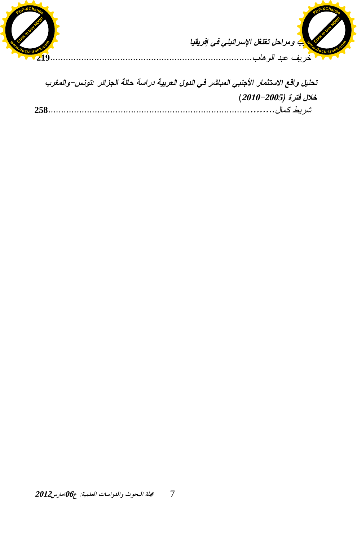



| تحليل واقع الاستثمار الأجنبي المباشر في الدول العربية دراسة حالة الجزائر :تونس–والمغرب |
|----------------------------------------------------------------------------------------|
| خلال فترة (2005–2010)                                                                  |
|                                                                                        |